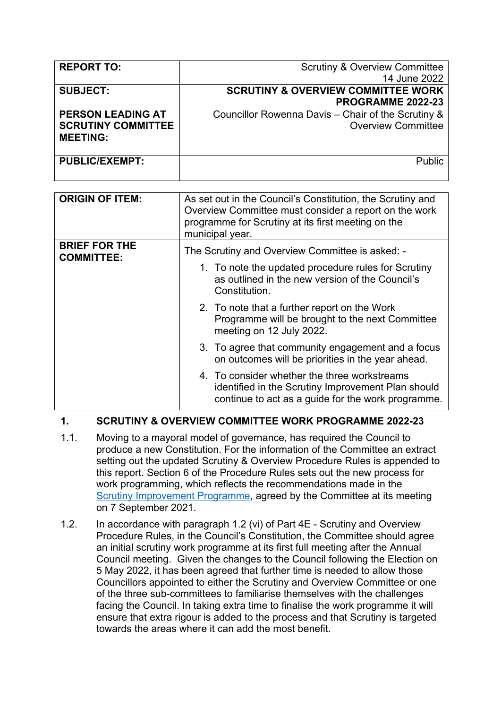| <b>REPORT TO:</b>         | <b>Scrutiny &amp; Overview Committee</b>           |
|---------------------------|----------------------------------------------------|
|                           | 14 June 2022                                       |
| <b>SUBJECT:</b>           | <b>SCRUTINY &amp; OVERVIEW COMMITTEE WORK</b>      |
|                           | PROGRAMME 2022-23                                  |
| <b>PERSON LEADING AT</b>  | Councillor Rowenna Davis - Chair of the Scrutiny & |
| <b>SCRUTINY COMMITTEE</b> | <b>Overview Committee</b>                          |
| <b>MEETING:</b>           |                                                    |
|                           |                                                    |
| <b>PUBLIC/EXEMPT:</b>     | <b>Public</b>                                      |
|                           |                                                    |

| <b>ORIGIN OF ITEM:</b>                    | As set out in the Council's Constitution, the Scrutiny and<br>Overview Committee must consider a report on the work<br>programme for Scrutiny at its first meeting on the<br>municipal year. |
|-------------------------------------------|----------------------------------------------------------------------------------------------------------------------------------------------------------------------------------------------|
| <b>BRIEF FOR THE</b><br><b>COMMITTEE:</b> | The Scrutiny and Overview Committee is asked: -                                                                                                                                              |
|                                           | 1. To note the updated procedure rules for Scrutiny<br>as outlined in the new version of the Council's<br>Constitution.                                                                      |
|                                           | 2. To note that a further report on the Work<br>Programme will be brought to the next Committee<br>meeting on 12 July 2022.                                                                  |
|                                           | 3. To agree that community engagement and a focus<br>on outcomes will be priorities in the year ahead.                                                                                       |
|                                           | 4. To consider whether the three workstreams<br>identified in the Scrutiny Improvement Plan should<br>continue to act as a guide for the work programme.                                     |

## **1. SCRUTINY & OVERVIEW COMMITTEE WORK PROGRAMME 2022-23**

- 1.1. Moving to a mayoral model of governance, has required the Council to produce a new Constitution. For the information of the Committee an extract setting out the updated Scrutiny & Overview Procedure Rules is appended to this report. Section 6 of the Procedure Rules sets out the new process for work programming, which reflects the recommendations made in the Scrutiny [Improvement](https://democracy.croydon.gov.uk/ieListDocuments.aspx?CId=166&MId=2635&Ver=4) Programme, agreed by the Committee at its meeting on 7 September 2021.
- 1.2. In accordance with paragraph 1.2 (vi) of Part 4E Scrutiny and Overview Procedure Rules, in the Council's Constitution, the Committee should agree an initial scrutiny work programme at its first full meeting after the Annual Council meeting. Given the changes to the Council following the Election on 5 May 2022, it has been agreed that further time is needed to allow those Councillors appointed to either the Scrutiny and Overview Committee or one of the three sub-committees to familiarise themselves with the challenges facing the Council. In taking extra time to finalise the work programme it will ensure that extra rigour is added to the process and that Scrutiny is targeted towards the areas where it can add the most benefit.